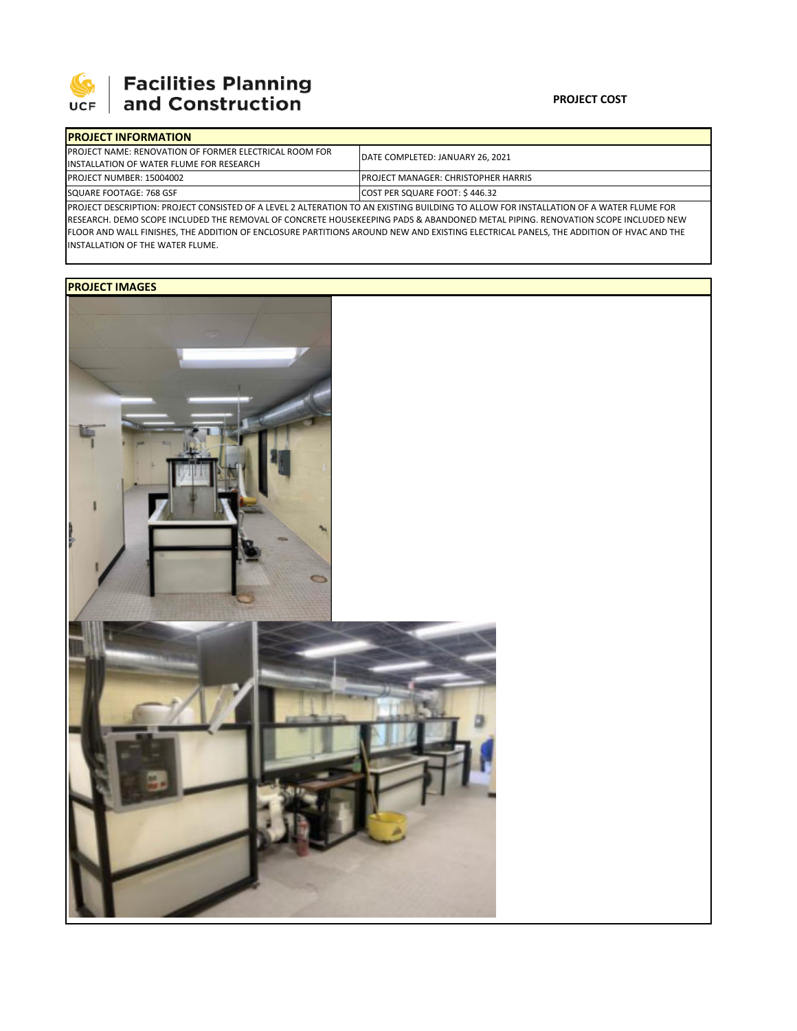

## **SEPTE SECUTE SECULIES Planning**<br>UCF and Construction

| <b>IPROJECT INFORMATION</b>                                                                                                           |                                            |  |  |  |
|---------------------------------------------------------------------------------------------------------------------------------------|--------------------------------------------|--|--|--|
| <b>IPROJECT NAME: RENOVATION OF FORMER ELECTRICAL ROOM FOR</b>                                                                        | DATE COMPLETED: JANUARY 26, 2021           |  |  |  |
| INSTALLATION OF WATER FLUME FOR RESEARCH                                                                                              |                                            |  |  |  |
| <b>PROJECT NUMBER: 15004002</b>                                                                                                       | <b>PROJECT MANAGER: CHRISTOPHER HARRIS</b> |  |  |  |
| SQUARE FOOTAGE: 768 GSF                                                                                                               | COST PER SQUARE FOOT: \$446.32             |  |  |  |
| PROJECT DESCRIPTION: PROJECT CONSISTED OF A LEVEL 2 ALTERATION TO AN EXISTING BUILDING TO ALLOW FOR INSTALLATION OF A WATER FLUME FOR |                                            |  |  |  |

RESEARCH. DEMO SCOPE INCLUDED THE REMOVAL OF CONCRETE HOUSEKEEPING PADS & ABANDONED METAL PIPING. RENOVATION SCOPE INCLUDED NEW FLOOR AND WALL FINISHES, THE ADDITION OF ENCLOSURE PARTITIONS AROUND NEW AND EXISTING ELECTRICAL PANELS, THE ADDITION OF HVAC AND THE INSTALLATION OF THE WATER FLUME.

## **PROJECT IMAGES**